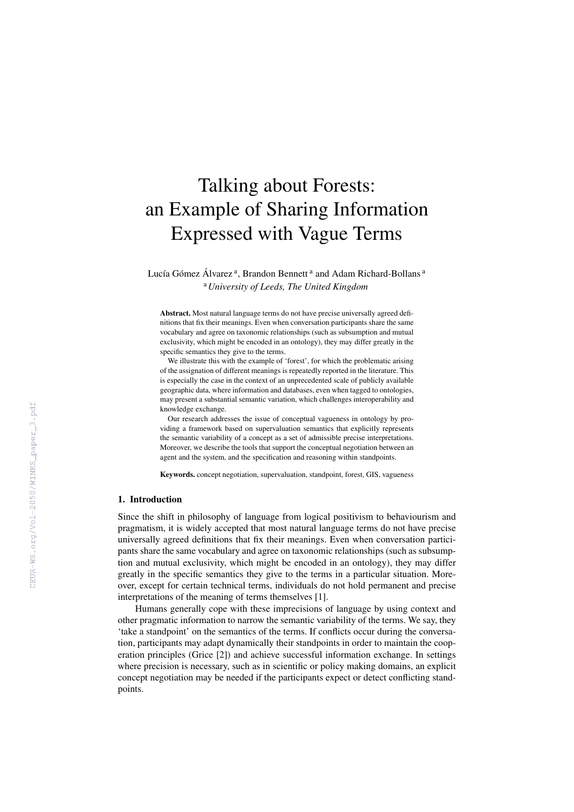# Talking about Forests: an Example of Sharing Information Expressed with Vague Terms

Lucía Gómez Álvarez<sup>a</sup>, Brandon Bennett<sup>a</sup> and Adam Richard-Bollans<sup>a</sup> <sup>a</sup>*University of Leeds, The United Kingdom*

Abstract. Most natural language terms do not have precise universally agreed definitions that fix their meanings. Even when conversation participants share the same vocabulary and agree on taxonomic relationships (such as subsumption and mutual exclusivity, which might be encoded in an ontology), they may differ greatly in the specific semantics they give to the terms.

We illustrate this with the example of 'forest', for which the problematic arising of the assignation of different meanings is repeatedly reported in the literature. This is especially the case in the context of an unprecedented scale of publicly available geographic data, where information and databases, even when tagged to ontologies, may present a substantial semantic variation, which challenges interoperability and knowledge exchange.

Our research addresses the issue of conceptual vagueness in ontology by providing a framework based on supervaluation semantics that explicitly represents the semantic variability of a concept as a set of admissible precise interpretations. Moreover, we describe the tools that support the conceptual negotiation between an agent and the system, and the specification and reasoning within standpoints.

Keywords. concept negotiation, supervaluation, standpoint, forest, GIS, vagueness

### 1. Introduction

Since the shift in philosophy of language from logical positivism to behaviourism and pragmatism, it is widely accepted that most natural language terms do not have precise universally agreed definitions that fix their meanings. Even when conversation participants share the same vocabulary and agree on taxonomic relationships (such as subsumption and mutual exclusivity, which might be encoded in an ontology), they may differ greatly in the specific semantics they give to the terms in a particular situation. Moreover, except for certain technical terms, individuals do not hold permanent and precise interpretations of the meaning of terms themselves [1].

Humans generally cope with these imprecisions of language by using context and other pragmatic information to narrow the semantic variability of the terms. We say, they 'take a standpoint' on the semantics of the terms. If conflicts occur during the conversation, participants may adapt dynamically their standpoints in order to maintain the cooperation principles (Grice [2]) and achieve successful information exchange. In settings where precision is necessary, such as in scientific or policy making domains, an explicit concept negotiation may be needed if the participants expect or detect conflicting standpoints.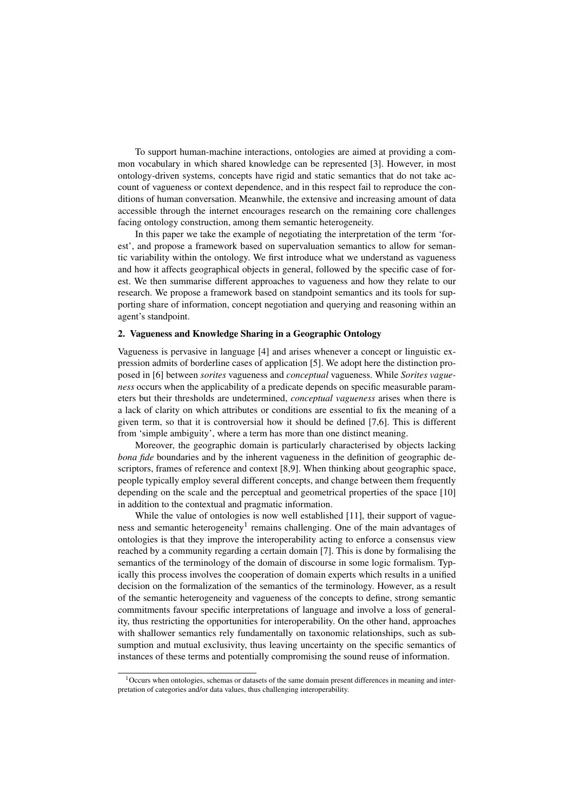To support human-machine interactions, ontologies are aimed at providing a common vocabulary in which shared knowledge can be represented [3]. However, in most ontology-driven systems, concepts have rigid and static semantics that do not take account of vagueness or context dependence, and in this respect fail to reproduce the conditions of human conversation. Meanwhile, the extensive and increasing amount of data accessible through the internet encourages research on the remaining core challenges facing ontology construction, among them semantic heterogeneity.

In this paper we take the example of negotiating the interpretation of the term 'forest', and propose a framework based on supervaluation semantics to allow for semantic variability within the ontology. We first introduce what we understand as vagueness and how it affects geographical objects in general, followed by the specific case of forest. We then summarise different approaches to vagueness and how they relate to our research. We propose a framework based on standpoint semantics and its tools for supporting share of information, concept negotiation and querying and reasoning within an agent's standpoint.

# 2. Vagueness and Knowledge Sharing in a Geographic Ontology

Vagueness is pervasive in language [4] and arises whenever a concept or linguistic expression admits of borderline cases of application [5]. We adopt here the distinction proposed in [6] between *sorites* vagueness and *conceptual* vagueness. While *Sorites vagueness* occurs when the applicability of a predicate depends on specific measurable parameters but their thresholds are undetermined, *conceptual vagueness* arises when there is a lack of clarity on which attributes or conditions are essential to fix the meaning of a given term, so that it is controversial how it should be defined [7,6]. This is different from 'simple ambiguity', where a term has more than one distinct meaning.

Moreover, the geographic domain is particularly characterised by objects lacking *bona fide* boundaries and by the inherent vagueness in the definition of geographic descriptors, frames of reference and context [8,9]. When thinking about geographic space, people typically employ several different concepts, and change between them frequently depending on the scale and the perceptual and geometrical properties of the space [10] in addition to the contextual and pragmatic information.

While the value of ontologies is now well established [11], their support of vagueness and semantic heterogeneity<sup>1</sup> remains challenging. One of the main advantages of ontologies is that they improve the interoperability acting to enforce a consensus view reached by a community regarding a certain domain [7]. This is done by formalising the semantics of the terminology of the domain of discourse in some logic formalism. Typically this process involves the cooperation of domain experts which results in a unified decision on the formalization of the semantics of the terminology. However, as a result of the semantic heterogeneity and vagueness of the concepts to define, strong semantic commitments favour specific interpretations of language and involve a loss of generality, thus restricting the opportunities for interoperability. On the other hand, approaches with shallower semantics rely fundamentally on taxonomic relationships, such as subsumption and mutual exclusivity, thus leaving uncertainty on the specific semantics of instances of these terms and potentially compromising the sound reuse of information.

 $1$ Occurs when ontologies, schemas or datasets of the same domain present differences in meaning and interpretation of categories and/or data values, thus challenging interoperability.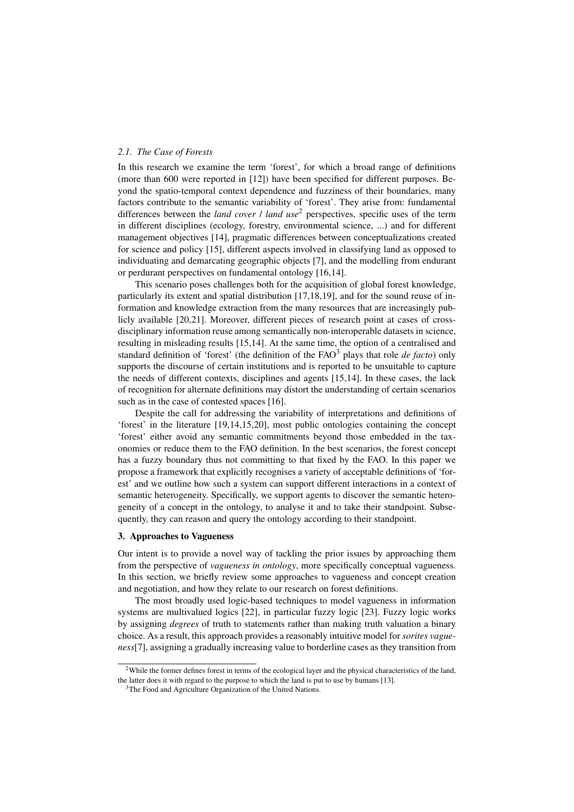# *2.1. The Case of Forests*

In this research we examine the term 'forest', for which a broad range of definitions (more than 600 were reported in [12]) have been specified for different purposes. Beyond the spatio-temporal context dependence and fuzziness of their boundaries, many factors contribute to the semantic variability of 'forest'. They arise from: fundamental differences between the *land cover* / *land use*<sup>2</sup> perspectives, specific uses of the term in different disciplines (ecology, forestry, environmental science, ...) and for different management objectives [14], pragmatic differences between conceptualizations created for science and policy [15], different aspects involved in classifying land as opposed to individuating and demarcating geographic objects [7], and the modelling from endurant or perdurant perspectives on fundamental ontology [16,14].

This scenario poses challenges both for the acquisition of global forest knowledge, particularly its extent and spatial distribution [17,18,19], and for the sound reuse of information and knowledge extraction from the many resources that are increasingly publicly available [20,21]. Moreover, different pieces of research point at cases of crossdisciplinary information reuse among semantically non-interoperable datasets in science, resulting in misleading results [15,14]. At the same time, the option of a centralised and standard definition of 'forest' (the definition of the FAO<sup>3</sup> plays that role *de facto*) only supports the discourse of certain institutions and is reported to be unsuitable to capture the needs of different contexts, disciplines and agents [15,14]. In these cases, the lack of recognition for alternate definitions may distort the understanding of certain scenarios such as in the case of contested spaces [16].

Despite the call for addressing the variability of interpretations and definitions of 'forest' in the literature [19,14,15,20], most public ontologies containing the concept 'forest' either avoid any semantic commitments beyond those embedded in the taxonomies or reduce them to the FAO definition. In the best scenarios, the forest concept has a fuzzy boundary thus not committing to that fixed by the FAO. In this paper we propose a framework that explicitly recognises a variety of acceptable definitions of 'forest' and we outline how such a system can support different interactions in a context of semantic heterogeneity. Specifically, we support agents to discover the semantic heterogeneity of a concept in the ontology, to analyse it and to take their standpoint. Subsequently, they can reason and query the ontology according to their standpoint.

#### 3. Approaches to Vagueness

Our intent is to provide a novel way of tackling the prior issues by approaching them from the perspective of *vagueness in ontology*, more specifically conceptual vagueness. In this section, we briefly review some approaches to vagueness and concept creation and negotiation, and how they relate to our research on forest definitions.

The most broadly used logic-based techniques to model vagueness in information systems are multivalued logics [22], in particular fuzzy logic [23]. Fuzzy logic works by assigning *degrees* of truth to statements rather than making truth valuation a binary choice. As a result, this approach provides a reasonably intuitive model for *sorites vagueness*[7], assigning a gradually increasing value to borderline cases as they transition from

<sup>2</sup>While the former defines forest in terms of the ecological layer and the physical characteristics of the land, the latter does it with regard to the purpose to which the land is put to use by humans [13].

<sup>&</sup>lt;sup>3</sup>The Food and Agriculture Organization of the United Nations.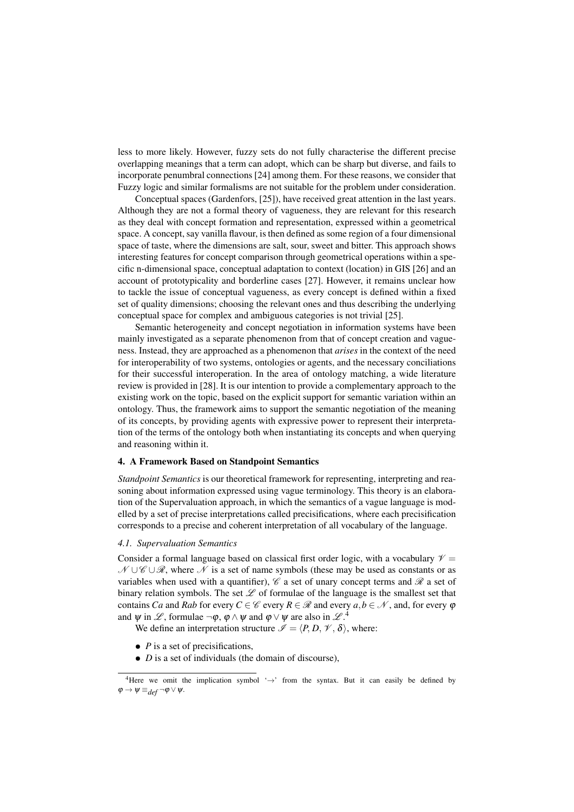less to more likely. However, fuzzy sets do not fully characterise the different precise overlapping meanings that a term can adopt, which can be sharp but diverse, and fails to incorporate penumbral connections [24] among them. For these reasons, we consider that Fuzzy logic and similar formalisms are not suitable for the problem under consideration.

Conceptual spaces (Gardenfors, [25]), have received great attention in the last years. Although they are not a formal theory of vagueness, they are relevant for this research as they deal with concept formation and representation, expressed within a geometrical space. A concept, say vanilla flavour, is then defined as some region of a four dimensional space of taste, where the dimensions are salt, sour, sweet and bitter. This approach shows interesting features for concept comparison through geometrical operations within a specific n-dimensional space, conceptual adaptation to context (location) in GIS [26] and an account of prototypicality and borderline cases [27]. However, it remains unclear how to tackle the issue of conceptual vagueness, as every concept is defined within a fixed set of quality dimensions; choosing the relevant ones and thus describing the underlying conceptual space for complex and ambiguous categories is not trivial [25].

Semantic heterogeneity and concept negotiation in information systems have been mainly investigated as a separate phenomenon from that of concept creation and vagueness. Instead, they are approached as a phenomenon that *arises* in the context of the need for interoperability of two systems, ontologies or agents, and the necessary conciliations for their successful interoperation. In the area of ontology matching, a wide literature review is provided in [28]. It is our intention to provide a complementary approach to the existing work on the topic, based on the explicit support for semantic variation within an ontology. Thus, the framework aims to support the semantic negotiation of the meaning of its concepts, by providing agents with expressive power to represent their interpretation of the terms of the ontology both when instantiating its concepts and when querying and reasoning within it.

#### 4. A Framework Based on Standpoint Semantics

*Standpoint Semantics* is our theoretical framework for representing, interpreting and reasoning about information expressed using vague terminology. This theory is an elaboration of the Supervaluation approach, in which the semantics of a vague language is modelled by a set of precise interpretations called precisifications, where each precisification corresponds to a precise and coherent interpretation of all vocabulary of the language.

#### *4.1. Supervaluation Semantics*

Consider a formal language based on classical first order logic, with a vocabulary  $\mathcal{V} =$  $\mathcal{N} \cup \mathcal{C} \cup \mathcal{R}$ , where  $\mathcal N$  is a set of name symbols (these may be used as constants or as variables when used with a quantifier),  $\mathscr C$  a set of unary concept terms and  $\mathscr R$  a set of binary relation symbols. The set  $\mathscr L$  of formulae of the language is the smallest set that contains *Ca* and *Rab* for every  $C \in \mathcal{C}$  every  $R \in \mathcal{R}$  and every  $a, b \in \mathcal{N}$ , and, for every  $\varphi$ and  $\psi$  in  $\mathscr{L}$ , formulae  $\neg \varphi$ ,  $\varphi \wedge \psi$  and  $\varphi \vee \psi$  are also in  $\mathscr{L}$ .<sup>4</sup>

We define an interpretation structure  $\mathscr{I} = \langle P, D, \mathscr{V}, \delta \rangle$ , where:

- *P* is a set of precisifications,
- *D* is a set of individuals (the domain of discourse),

<sup>&</sup>lt;sup>4</sup>Here we omit the implication symbol ' $\rightarrow$ ' from the syntax. But it can easily be defined by  $\varphi \to \psi \equiv_{def} \neg \varphi \vee \psi.$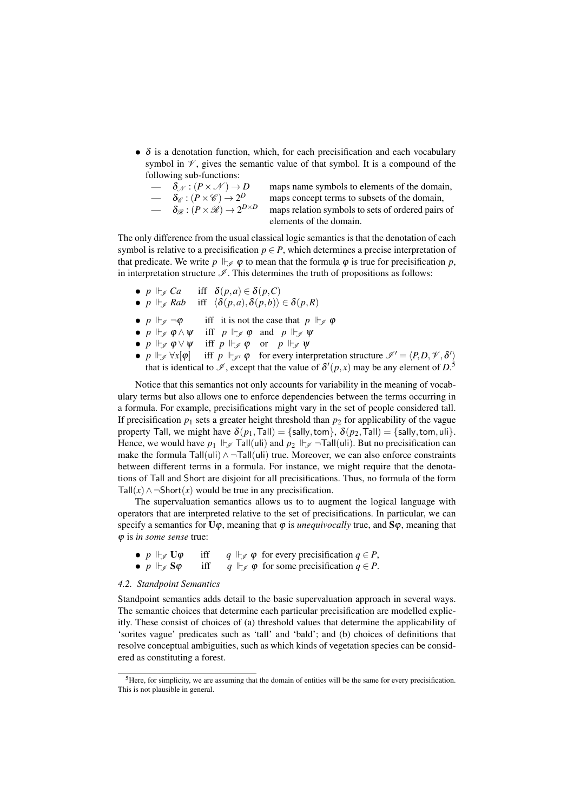- $\delta$  is a denotation function, which, for each precisification and each vocabulary symbol in  $\mathcal V$ , gives the semantic value of that symbol. It is a compound of the following sub-functions:
	- $\delta_{\mathscr{C}} : (P \times \mathscr{C}) \to 2$  $- \delta_{\mathscr{R}} : (P \times \mathscr{R}) \to 2$

maps name symbols to elements of the domain, maps concept terms to subsets of the domain, maps relation symbols to sets of ordered pairs of elements of the domain.

The only difference from the usual classical logic semantics is that the denotation of each symbol is relative to a precisification  $p \in P$ , which determines a precise interpretation of that predicate. We write  $p \Vdash_{\mathscr{I}} \varphi$  to mean that the formula  $\varphi$  is true for precisification p, in interpretation structure  $\mathcal{I}$ . This determines the truth of propositions as follows:

- *p*  $\Vdash_{\mathscr{I}} Ca$  iff  $\delta(p,a) \in \delta(p,C)$ <br>• *p*  $\Vdash_{\mathscr{C}} Ra b$  iff  $\langle \delta(p,a), \delta(p,b) \rangle$
- *iff*  $\langle \delta(p,a), \delta(p,b) \rangle \in \delta(p,R)$
- $p \Vdash_{\mathscr{I}} \neg \varphi$  iff it is not the case that  $p \Vdash_{\mathscr{I}} \varphi$
- $p \Vdash_{\mathscr{I}} \varphi \wedge \psi$  iff  $p \Vdash_{\mathscr{I}} \varphi$  and  $p \Vdash_{\mathscr{I}} \psi$
- *p*  $\Vdash_{\mathscr{I}} \varphi \vee \psi$  iff *p*  $\Vdash_{\mathscr{I}} \varphi$  or *p*  $\Vdash_{\mathscr{I}} \psi$ <br>• *p*  $\Vdash_{\mathscr{I}} \forall x[\varphi]$  iff *p*  $\Vdash_{\mathscr{I}} \varphi$  for every inte
- $p \Vdash_{\mathscr{I}} \forall x[\varphi]$  iff  $p \Vdash_{\mathscr{I'}} \varphi$  for every interpretation structure  $\mathscr{I}' = \langle P, D, \mathscr{V}, \delta' \rangle$ that is identical to  $\mathscr{I}$ , except that the value of  $\delta'(p,x)$  may be any element of  $D^5$ .

Notice that this semantics not only accounts for variability in the meaning of vocabulary terms but also allows one to enforce dependencies between the terms occurring in a formula. For example, precisifications might vary in the set of people considered tall. If precisification  $p_1$  sets a greater height threshold than  $p_2$  for applicability of the vague property Tall, we might have  $\delta(p_1, \text{Tail}) = \{\text{sally}, \text{tom}\}, \delta(p_2, \text{Tail}) = \{\text{sally}, \text{tom}, \text{uli}\}.$ Hence, we would have  $p_1 \Vdash_{\mathscr{I}} \text{Tail}(\text{uli})$  and  $p_2 \Vdash_{\mathscr{I}} \text{--Tall}(\text{uli})$ . But no precisification can make the formula Tall(uli)  $\land$  ¬Tall(uli) true. Moreover, we can also enforce constraints between different terms in a formula. For instance, we might require that the denotations of Tall and Short are disjoint for all precisifications. Thus, no formula of the form Tall( $x$ ) ∧ ¬Short( $x$ ) would be true in any precisification.

The supervaluation semantics allows us to to augment the logical language with operators that are interpreted relative to the set of precisifications. In particular, we can specify a semantics for  $U\varphi$ , meaning that  $\varphi$  is *unequivocally* true, and  $S\varphi$ , meaning that ϕ is *in some sense* true:

| $\bullet$ p $\mathop{\Vdash}_{\mathscr{I}}$ U $\varphi$  | iff | $q \Vdash_{\mathscr{I}} \varphi$ for every precisification $q \in P$ , |
|----------------------------------------------------------|-----|------------------------------------------------------------------------|
| $\bullet$ p $\mathrel{\Vdash}_{\mathscr{I}}$ S $\varphi$ | iff | $q \Vdash_{\mathscr{I}} \varphi$ for some precisification $q \in P$ .  |

## *4.2. Standpoint Semantics*

Standpoint semantics adds detail to the basic supervaluation approach in several ways. The semantic choices that determine each particular precisification are modelled explicitly. These consist of choices of (a) threshold values that determine the applicability of 'sorites vague' predicates such as 'tall' and 'bald'; and (b) choices of definitions that resolve conceptual ambiguities, such as which kinds of vegetation species can be considered as constituting a forest.

<sup>&</sup>lt;sup>5</sup>Here, for simplicity, we are assuming that the domain of entities will be the same for every precisification. This is not plausible in general.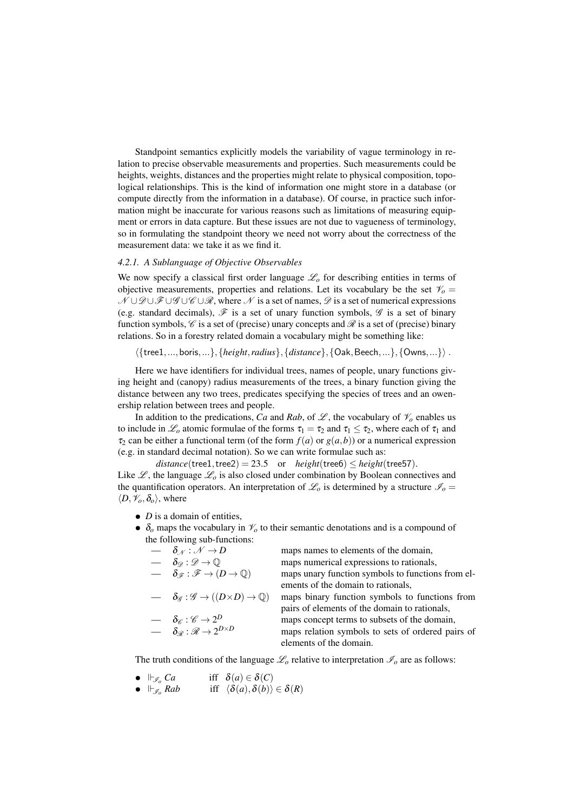Standpoint semantics explicitly models the variability of vague terminology in relation to precise observable measurements and properties. Such measurements could be heights, weights, distances and the properties might relate to physical composition, topological relationships. This is the kind of information one might store in a database (or compute directly from the information in a database). Of course, in practice such information might be inaccurate for various reasons such as limitations of measuring equipment or errors in data capture. But these issues are not due to vagueness of terminology, so in formulating the standpoint theory we need not worry about the correctness of the measurement data: we take it as we find it.

#### *4.2.1. A Sublanguage of Objective Observables*

We now specify a classical first order language  $\mathcal{L}_o$  for describing entities in terms of objective measurements, properties and relations. Let its vocabulary be the set  $\mathcal{V}_o =$  $N \cup \mathcal{D} \cup \mathcal{F} \cup \mathcal{G} \cup \mathcal{C} \cup \mathcal{R}$ , where N is a set of names,  $\mathcal{D}$  is a set of numerical expressions (e.g. standard decimals),  $\mathscr F$  is a set of unary function symbols,  $\mathscr G$  is a set of binary function symbols,  $\mathcal C$  is a set of (precise) unary concepts and  $\mathcal R$  is a set of (precise) binary relations. So in a forestry related domain a vocabulary might be something like:

 ${$ {tree1,...,boris,...},{*height,radius*},{*distance*},{Oak,Beech,...},{Owns,...}).

Here we have identifiers for individual trees, names of people, unary functions giving height and (canopy) radius measurements of the trees, a binary function giving the distance between any two trees, predicates specifying the species of trees and an owenership relation between trees and people.

In addition to the predications, *Ca* and *Rab*, of  $\mathcal{L}$ , the vocabulary of  $\mathcal{V}_o$  enables us to include in  $\mathcal{L}_0$  atomic formulae of the forms  $\tau_1 = \tau_2$  and  $\tau_1 \leq \tau_2$ , where each of  $\tau_1$  and  $\tau_2$  can be either a functional term (of the form  $f(a)$  or  $g(a,b)$ ) or a numerical expression (e.g. in standard decimal notation). So we can write formulae such as:

 $distance(tree1, tree2) = 23.5$  or  $height(tree6) \le height(tree57)$ .

Like  $\mathscr{L}$ , the language  $\mathscr{L}_o$  is also closed under combination by Boolean connectives and the quantification operators. An interpretation of  $\mathcal{L}_o$  is determined by a structure  $\mathcal{I}_o =$  $\langle D, \mathcal{V}_o, \delta_o \rangle$ , where

- *D* is a domain of entities,
- $\delta$ <sub>o</sub> maps the vocabulary in  $\mathcal{V}_o$  to their semantic denotations and is a compound of the following sub-functions:

| $-\delta_{\mathcal{N}}:\mathcal{N}\to D$                                                                                                                      | maps names to elements of the domain,             |
|---------------------------------------------------------------------------------------------------------------------------------------------------------------|---------------------------------------------------|
| $- \delta_{\mathscr{D}} : \mathscr{D} \to \mathbb{Q}$                                                                                                         | maps numerical expressions to rationals,          |
| $- \delta_{\mathscr{F}} : \mathscr{F} \to (D \to \mathbb{Q})$                                                                                                 | maps unary function symbols to functions from el- |
|                                                                                                                                                               | ements of the domain to rationals,                |
| $\rightarrow \delta_{\mathscr{G}} : \mathscr{G} \rightarrow ((D \times D) \rightarrow \mathbb{Q})$                                                            | maps binary function symbols to functions from    |
|                                                                                                                                                               | pairs of elements of the domain to rationals,     |
|                                                                                                                                                               | maps concept terms to subsets of the domain,      |
| $\begin{array}{lll} - & \delta_{\mathscr{C}} : \mathscr{C} \rightarrow 2^D \ & - & \delta_{\mathscr{R}} : \mathscr{R} \rightarrow 2^{D \times D} \end{array}$ | maps relation symbols to sets of ordered pairs of |
|                                                                                                                                                               | elements of the domain.                           |

The truth conditions of the language  $\mathcal{L}_o$  relative to interpretation  $\mathcal{I}_o$  are as follows:

- $\Vdash_{\mathscr{I}_o} Ca$  iff  $\delta(a) \in \delta(C)$ <br>•  $\Vdash_{\mathscr{I}_o} Rab$  iff  $\langle \delta(a), \delta(b) \rangle$
- iff  $\langle \delta(a), \delta(b) \rangle \in \delta(R)$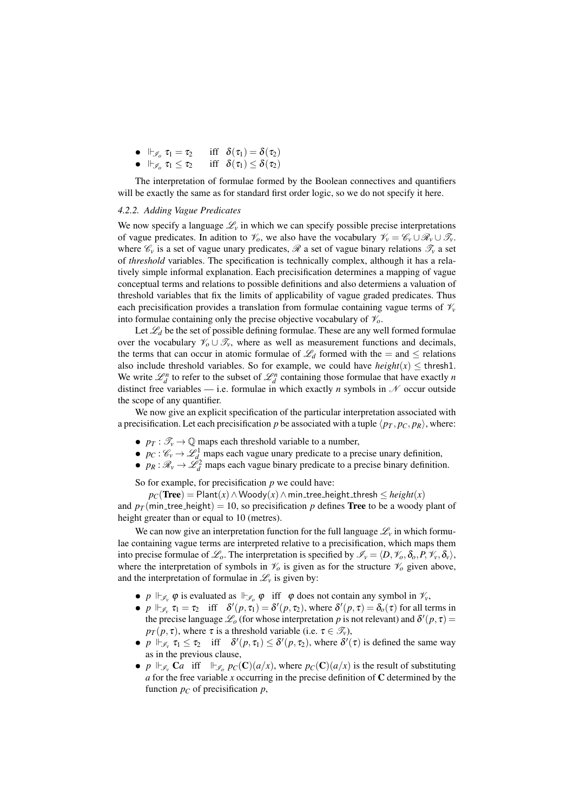| $\bullet\ \Vdash_{\mathscr{I}_o}\tau_1=\tau_2$    | iff $\delta(\tau_1) = \delta(\tau_2)$    |
|---------------------------------------------------|------------------------------------------|
| $\bullet\ \Vdash_{\mathscr{I}_o}\tau_1\leq\tau_2$ | iff $\delta(\tau_1) \leq \delta(\tau_2)$ |

The interpretation of formulae formed by the Boolean connectives and quantifiers will be exactly the same as for standard first order logic, so we do not specify it here.

### *4.2.2. Adding Vague Predicates*

We now specify a language  $\mathcal{L}_v$  in which we can specify possible precise interpretations of vague predicates. In adition to  $\mathcal{V}_o$ , we also have the vocabulary  $\mathcal{V}_v = \mathcal{C}_v \cup \mathcal{R}_v \cup \mathcal{T}_v$ . where  $\mathscr{C}_v$  is a set of vague unary predicates,  $\mathscr R$  a set of vague binary relations  $\mathscr T_v$  a set of *threshold* variables. The specification is technically complex, although it has a relatively simple informal explanation. Each precisification determines a mapping of vague conceptual terms and relations to possible definitions and also determiens a valuation of threshold variables that fix the limits of applicability of vague graded predicates. Thus each precisification provides a translation from formulae containing vague terms of  $\mathcal{V}_v$ into formulae containing only the precise objective vocabulary of  $\mathcal{V}_o$ .

Let  $\mathcal{L}_d$  be the set of possible defining formulae. These are any well formed formulae over the vocabulary  $\mathcal{V}_o \cup \mathcal{T}_v$ , where as well as measurement functions and decimals, the terms that can occur in atomic formulae of  $\mathcal{L}_d$  formed with the  $=$  and  $\leq$  relations also include threshold variables. So for example, we could have  $height(x) \leq thresh1$ . We write  $\mathcal{L}_d^n$  to refer to the subset of  $\mathcal{L}_d^n$  containing those formulae that have exactly *n* distinct free variables — i.e. formulae in which exactly *n* symbols in  $N$  occur outside the scope of any quantifier.

We now give an explicit specification of the particular interpretation associated with a precisification. Let each precisification *p* be associated with a tuple  $\langle p_T, p_C, p_R \rangle$ , where:

- $p_T : \mathcal{T}_v \to \mathbb{Q}$  maps each threshold variable to a number,
- $p_C: \mathcal{C}_v \to \mathcal{L}_d^1$  maps each vague unary predicate to a precise unary definition,
- $p_R : \mathcal{R}_v \to \tilde{\mathcal{L}}_d^2$  maps each vague binary predicate to a precise binary definition.

So for example, for precisification *p* we could have:

 $p_C$ (Tree) = Plant(*x*) ∧ Woody(*x*) ∧ min\_tree\_height\_thresh  $\leq$  *height*(*x*) and  $p_T$  (min\_tree\_height) = 10, so precisification p defines **Tree** to be a woody plant of height greater than or equal to 10 (metres).

We can now give an interpretation function for the full language  $\mathcal{L}_v$  in which formulae containing vague terms are interpreted relative to a precisification, which maps them into precise formulae of  $\mathcal{L}_o$ . The interpretation is specified by  $\mathcal{I}_v = \langle D, \mathcal{V}_o, \delta_o, P, \mathcal{V}_v, \delta_v \rangle$ , where the interpretation of symbols in  $\mathcal{V}_o$  is given as for the structure  $\mathcal{V}_o$  given above, and the interpretation of formulae in  $\mathcal{L}_v$  is given by:

- *p*  $\Vdash_{\mathscr{I}_v} \varphi$  is evaluated as  $\Vdash_{\mathscr{I}_v} \varphi$  iff  $\varphi$  does not contain any symbol in  $\mathscr{V}_v$ ,
- $p \Vdash_{\mathscr{I}_v} \tau_1 = \tau_2$  iff  $\delta'(p, \tau_1) = \delta'(p, \tau_2)$ , where  $\delta'(p, \tau) = \delta_0(\tau)$  for all terms in the precise language  $\mathcal{L}_o$  (for whose interpretation *p* is not relevant) and  $\delta'(p, \tau) =$  $p_T(p, \tau)$ , where  $\tau$  is a threshold variable (i.e.  $\tau \in \mathcal{F}_v$ ),
- $p \Vdash_{\mathscr{I}_v} \tau_1 \leq \tau_2$  iff  $\delta'(p,\tau_1) \leq \delta'(p,\tau_2)$ , where  $\delta'(\tau)$  is defined the same way as in the previous clause,
- *p*  $\Vdash_{\mathscr{I}_v}$  C*a* iff  $\Vdash_{\mathscr{I}_o} p_C(C)(a/x)$ , where  $p_C(C)(a/x)$  is the result of substituting  $a$  for the free variable  $x$  occurring in the precise definition of  $C$  determined by the function  $p<sub>C</sub>$  of precisification  $p$ ,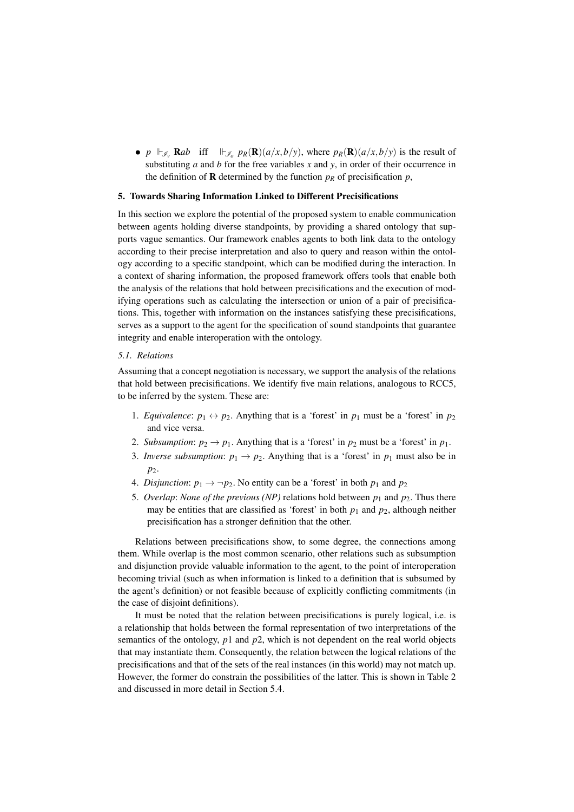• *p*  $\Vdash_{\mathscr{I}_v} \mathbf{R}ab$  iff  $\Vdash_{\mathscr{I}_o} p_R(\mathbf{R})(a/x,b/y)$ , where  $p_R(\mathbf{R})(a/x,b/y)$  is the result of substituting *a* and *b* for the free variables *x* and *y*, in order of their occurrence in the definition of **R** determined by the function  $p<sub>R</sub>$  of precisification  $p$ ,

### 5. Towards Sharing Information Linked to Different Precisifications

In this section we explore the potential of the proposed system to enable communication between agents holding diverse standpoints, by providing a shared ontology that supports vague semantics. Our framework enables agents to both link data to the ontology according to their precise interpretation and also to query and reason within the ontology according to a specific standpoint, which can be modified during the interaction. In a context of sharing information, the proposed framework offers tools that enable both the analysis of the relations that hold between precisifications and the execution of modifying operations such as calculating the intersection or union of a pair of precisifications. This, together with information on the instances satisfying these precisifications, serves as a support to the agent for the specification of sound standpoints that guarantee integrity and enable interoperation with the ontology.

# *5.1. Relations*

Assuming that a concept negotiation is necessary, we support the analysis of the relations that hold between precisifications. We identify five main relations, analogous to RCC5, to be inferred by the system. These are:

- 1. *Equivalence*:  $p_1 \leftrightarrow p_2$ . Anything that is a 'forest' in  $p_1$  must be a 'forest' in  $p_2$ and vice versa.
- 2. *Subsumption*:  $p_2 \rightarrow p_1$ . Anything that is a 'forest' in  $p_2$  must be a 'forest' in  $p_1$ .
- 3. *Inverse subsumption*:  $p_1 \rightarrow p_2$ . Anything that is a 'forest' in  $p_1$  must also be in *p*2.
- 4. *Disjunction*:  $p_1 \rightarrow \neg p_2$ . No entity can be a 'forest' in both  $p_1$  and  $p_2$
- 5. *Overlap: None of the previous (NP)* relations hold between  $p_1$  and  $p_2$ . Thus there may be entities that are classified as 'forest' in both  $p_1$  and  $p_2$ , although neither precisification has a stronger definition that the other.

Relations between precisifications show, to some degree, the connections among them. While overlap is the most common scenario, other relations such as subsumption and disjunction provide valuable information to the agent, to the point of interoperation becoming trivial (such as when information is linked to a definition that is subsumed by the agent's definition) or not feasible because of explicitly conflicting commitments (in the case of disjoint definitions).

It must be noted that the relation between precisifications is purely logical, i.e. is a relationship that holds between the formal representation of two interpretations of the semantics of the ontology, *p*1 and *p*2, which is not dependent on the real world objects that may instantiate them. Consequently, the relation between the logical relations of the precisifications and that of the sets of the real instances (in this world) may not match up. However, the former do constrain the possibilities of the latter. This is shown in Table 2 and discussed in more detail in Section 5.4.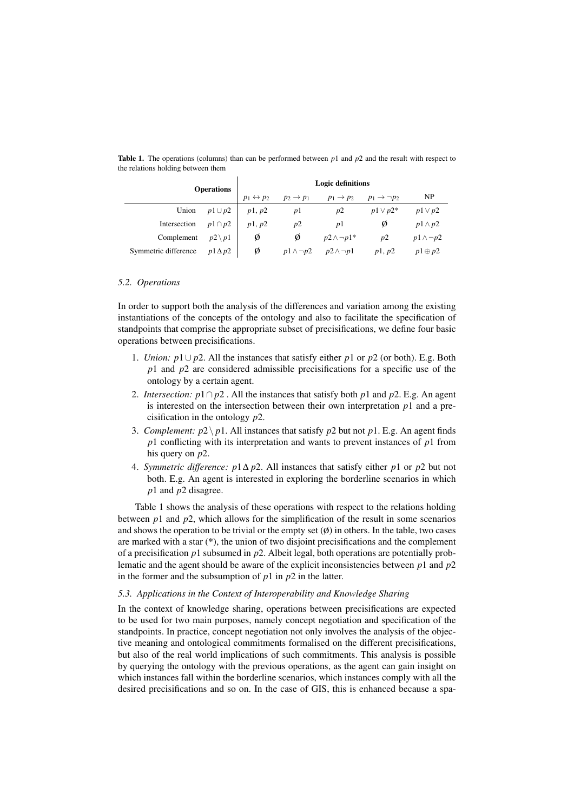|                      | <b>Operations</b> |                           | <b>Logic definitions</b> |                       |                            |                     |  |
|----------------------|-------------------|---------------------------|--------------------------|-----------------------|----------------------------|---------------------|--|
|                      |                   | $p_1 \leftrightarrow p_2$ | $p_2 \rightarrow p_1$    | $p_1 \rightarrow p_2$ | $p_1 \rightarrow \neg p_2$ | NP                  |  |
| Union                | $p1 \cup p2$      | p1, p2                    | p1                       | p2                    | $p1 \vee p2^*$             | $p1 \vee p2$        |  |
| Intersection         | $p1 \cap p2$      | p1, p2                    | p2                       | pl                    | Ø                          | $p1 \wedge p2$      |  |
| Complement           | $p2 \setminus p1$ | Ø                         | Ø                        | $p2 \wedge \neg p1^*$ | p2                         | $p1 \wedge \neg p2$ |  |
| Symmetric difference | $p1\Delta p2$     | Ø                         | $p1 \wedge \neg p2$      | $p2 \wedge \neg p1$   | p1, p2                     | $p1 \oplus p2$      |  |

Table 1. The operations (columns) than can be performed between *p*1 and *p*2 and the result with respect to the relations holding between them

#### *5.2. Operations*

In order to support both the analysis of the differences and variation among the existing instantiations of the concepts of the ontology and also to facilitate the specification of standpoints that comprise the appropriate subset of precisifications, we define four basic operations between precisifications.

- 1. *Union: p*1∪ *p*2. All the instances that satisfy either *p*1 or *p*2 (or both). E.g. Both *p*1 and *p*2 are considered admissible precisifications for a specific use of the ontology by a certain agent.
- 2. *Intersection: p*1∩ *p*2 . All the instances that satisfy both *p*1 and *p*2. E.g. An agent is interested on the intersection between their own interpretation *p*1 and a precisification in the ontology *p*2.
- 3. *Complement:*  $p2 \mid p1$ . All instances that satisfy  $p2$  but not  $p1$ . E.g. An agent finds *p*1 conflicting with its interpretation and wants to prevent instances of *p*1 from his query on *p*2.
- 4. *Symmetric difference: p*1∆ *p*2. All instances that satisfy either *p*1 or *p*2 but not both. E.g. An agent is interested in exploring the borderline scenarios in which *p*1 and *p*2 disagree.

Table 1 shows the analysis of these operations with respect to the relations holding between  $p_1$  and  $p_2$ , which allows for the simplification of the result in some scenarios and shows the operation to be trivial or the empty set  $(\emptyset)$  in others. In the table, two cases are marked with a star (\*), the union of two disjoint precisifications and the complement of a precisification *p*1 subsumed in *p*2. Albeit legal, both operations are potentially problematic and the agent should be aware of the explicit inconsistencies between *p*1 and *p*2 in the former and the subsumption of *p*1 in *p*2 in the latter.

## *5.3. Applications in the Context of Interoperability and Knowledge Sharing*

In the context of knowledge sharing, operations between precisifications are expected to be used for two main purposes, namely concept negotiation and specification of the standpoints. In practice, concept negotiation not only involves the analysis of the objective meaning and ontological commitments formalised on the different precisifications, but also of the real world implications of such commitments. This analysis is possible by querying the ontology with the previous operations, as the agent can gain insight on which instances fall within the borderline scenarios, which instances comply with all the desired precisifications and so on. In the case of GIS, this is enhanced because a spa-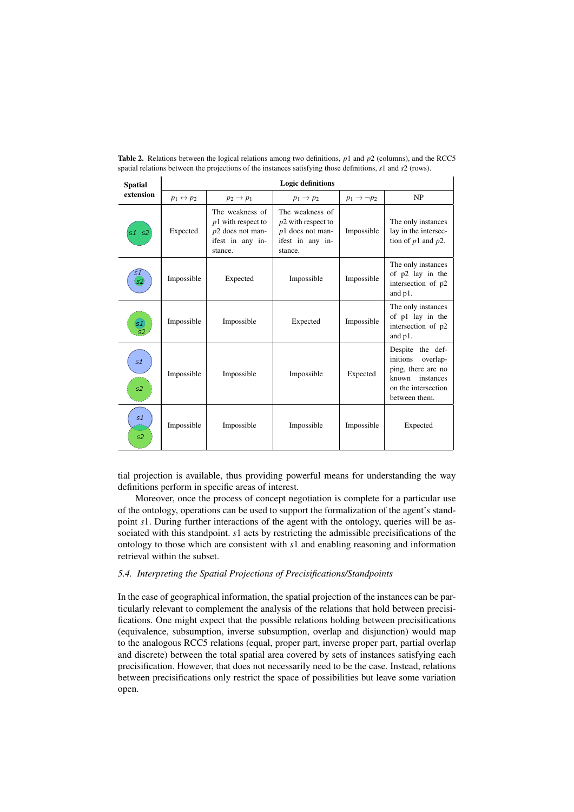| <b>Spatial</b> | <b>Logic definitions</b>  |                                                                                              |                                                                                              |                            |                                                                                                                              |  |  |
|----------------|---------------------------|----------------------------------------------------------------------------------------------|----------------------------------------------------------------------------------------------|----------------------------|------------------------------------------------------------------------------------------------------------------------------|--|--|
| extension      | $p_1 \leftrightarrow p_2$ | $p_2 \rightarrow p_1$                                                                        | $p_1 \rightarrow p_2$                                                                        | $p_1 \rightarrow \neg p_2$ | NP                                                                                                                           |  |  |
| s1 s2          | Expected                  | The weakness of<br>$p1$ with respect to<br>$p2$ does not man-<br>ifest in any in-<br>stance. | The weakness of<br>$p2$ with respect to<br>$p1$ does not man-<br>ifest in any in-<br>stance. | Impossible                 | The only instances<br>lay in the intersec-<br>tion of $p1$ and $p2$ .                                                        |  |  |
| s1<br>s2       | Impossible                | Expected                                                                                     | Impossible                                                                                   | Impossible                 | The only instances<br>of p2 lay in the<br>intersection of p2<br>and p1.                                                      |  |  |
| s1             | Impossible                | Impossible                                                                                   | Expected                                                                                     | Impossible                 | The only instances<br>of p1 lay in the<br>intersection of p2<br>and p1.                                                      |  |  |
| s1<br>s2       | Impossible                | Impossible                                                                                   | Impossible                                                                                   | Expected                   | Despite the def-<br>initions<br>overlap-<br>ping, there are no<br>instances<br>known<br>on the intersection<br>between them. |  |  |
| s1<br>s2       | Impossible                | Impossible                                                                                   | Impossible                                                                                   | Impossible                 | Expected                                                                                                                     |  |  |

Table 2. Relations between the logical relations among two definitions, *p*1 and *p*2 (columns), and the RCC5 spatial relations between the projections of the instances satisfying those definitions, *s*1 and *s*2 (rows).

 $\overline{1}$ 

 $\mathbf{r}$ 

tial projection is available, thus providing powerful means for understanding the way definitions perform in specific areas of interest.

Moreover, once the process of concept negotiation is complete for a particular use of the ontology, operations can be used to support the formalization of the agent's standpoint *s*1. During further interactions of the agent with the ontology, queries will be associated with this standpoint. *s*1 acts by restricting the admissible precisifications of the ontology to those which are consistent with *s*1 and enabling reasoning and information retrieval within the subset.

## *5.4. Interpreting the Spatial Projections of Precisifications/Standpoints*

In the case of geographical information, the spatial projection of the instances can be particularly relevant to complement the analysis of the relations that hold between precisifications. One might expect that the possible relations holding between precisifications (equivalence, subsumption, inverse subsumption, overlap and disjunction) would map to the analogous RCC5 relations (equal, proper part, inverse proper part, partial overlap and discrete) between the total spatial area covered by sets of instances satisfying each precisification. However, that does not necessarily need to be the case. Instead, relations between precisifications only restrict the space of possibilities but leave some variation open.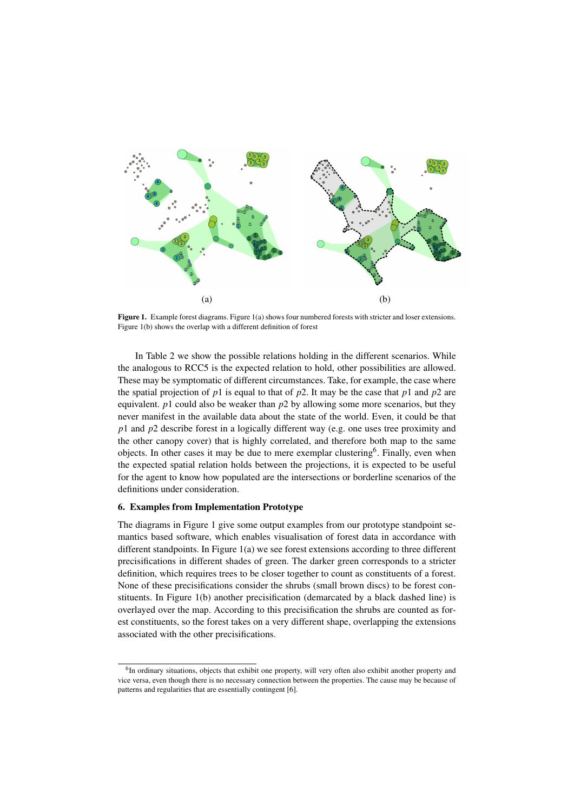

**Figure 1.** Example forest diagrams. Figure  $1(a)$  shows four numbered forests with stricter and loser extensions. Figure 1(b) shows the overlap with a different definition of forest

In Table 2 we show the possible relations holding in the different scenarios. While the analogous to RCC5 is the expected relation to hold, other possibilities are allowed. These may be symptomatic of different circumstances. Take, for example, the case where the spatial projection of  $p_1$  is equal to that of  $p_2$ . It may be the case that  $p_1$  and  $p_2$  are equivalent. *p*1 could also be weaker than *p*2 by allowing some more scenarios, but they never manifest in the available data about the state of the world. Even, it could be that *p*1 and *p*2 describe forest in a logically different way (e.g. one uses tree proximity and the other canopy cover) that is highly correlated, and therefore both map to the same objects. In other cases it may be due to mere exemplar clustering<sup>6</sup>. Finally, even when the expected spatial relation holds between the projections, it is expected to be useful for the agent to know how populated are the intersections or borderline scenarios of the definitions under consideration.

### 6. Examples from Implementation Prototype

The diagrams in Figure 1 give some output examples from our prototype standpoint semantics based software, which enables visualisation of forest data in accordance with different standpoints. In Figure  $1(a)$  we see forest extensions according to three different precisifications in different shades of green. The darker green corresponds to a stricter definition, which requires trees to be closer together to count as constituents of a forest. None of these precisifications consider the shrubs (small brown discs) to be forest constituents. In Figure 1(b) another precisification (demarcated by a black dashed line) is overlayed over the map. According to this precisification the shrubs are counted as forest constituents, so the forest takes on a very different shape, overlapping the extensions associated with the other precisifications.

<sup>&</sup>lt;sup>6</sup>In ordinary situations, objects that exhibit one property, will very often also exhibit another property and vice versa, even though there is no necessary connection between the properties. The cause may be because of patterns and regularities that are essentially contingent [6].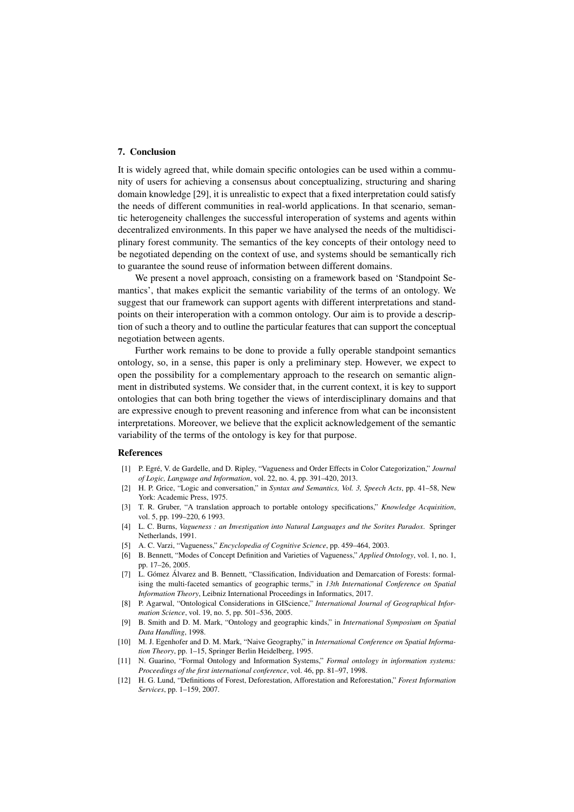# 7. Conclusion

It is widely agreed that, while domain specific ontologies can be used within a community of users for achieving a consensus about conceptualizing, structuring and sharing domain knowledge [29], it is unrealistic to expect that a fixed interpretation could satisfy the needs of different communities in real-world applications. In that scenario, semantic heterogeneity challenges the successful interoperation of systems and agents within decentralized environments. In this paper we have analysed the needs of the multidisciplinary forest community. The semantics of the key concepts of their ontology need to be negotiated depending on the context of use, and systems should be semantically rich to guarantee the sound reuse of information between different domains.

We present a novel approach, consisting on a framework based on 'Standpoint Semantics', that makes explicit the semantic variability of the terms of an ontology. We suggest that our framework can support agents with different interpretations and standpoints on their interoperation with a common ontology. Our aim is to provide a description of such a theory and to outline the particular features that can support the conceptual negotiation between agents.

Further work remains to be done to provide a fully operable standpoint semantics ontology, so, in a sense, this paper is only a preliminary step. However, we expect to open the possibility for a complementary approach to the research on semantic alignment in distributed systems. We consider that, in the current context, it is key to support ontologies that can both bring together the views of interdisciplinary domains and that are expressive enough to prevent reasoning and inference from what can be inconsistent interpretations. Moreover, we believe that the explicit acknowledgement of the semantic variability of the terms of the ontology is key for that purpose.

#### References

- [1] P. Egré, V. de Gardelle, and D. Ripley, "Vagueness and Order Effects in Color Categorization," *Journal of Logic, Language and Information*, vol. 22, no. 4, pp. 391–420, 2013.
- [2] H. P. Grice, "Logic and conversation," in *Syntax and Semantics, Vol. 3, Speech Acts*, pp. 41–58, New York: Academic Press, 1975.
- [3] T. R. Gruber, "A translation approach to portable ontology specifications," *Knowledge Acquisition*, vol. 5, pp. 199–220, 6 1993.
- [4] L. C. Burns, *Vagueness : an Investigation into Natural Languages and the Sorites Paradox*. Springer Netherlands, 1991.
- [5] A. C. Varzi, "Vagueness," *Encyclopedia of Cognitive Science*, pp. 459–464, 2003.
- [6] B. Bennett, "Modes of Concept Definition and Varieties of Vagueness," *Applied Ontology*, vol. 1, no. 1, pp. 17–26, 2005.
- [7] L. Gómez Álvarez and B. Bennett, "Classification, Individuation and Demarcation of Forests: formalising the multi-faceted semantics of geographic terms," in *13th International Conference on Spatial Information Theory*, Leibniz International Proceedings in Informatics, 2017.
- [8] P. Agarwal, "Ontological Considerations in GIScience," *International Journal of Geographical Information Science*, vol. 19, no. 5, pp. 501–536, 2005.
- [9] B. Smith and D. M. Mark, "Ontology and geographic kinds," in *International Symposium on Spatial Data Handling*, 1998.
- [10] M. J. Egenhofer and D. M. Mark, "Naive Geography," in *International Conference on Spatial Information Theory*, pp. 1–15, Springer Berlin Heidelberg, 1995.
- [11] N. Guarino, "Formal Ontology and Information Systems," *Formal ontology in information systems: Proceedings of the first international conference*, vol. 46, pp. 81–97, 1998.
- [12] H. G. Lund, "Definitions of Forest, Deforestation, Afforestation and Reforestation," *Forest Information Services*, pp. 1–159, 2007.